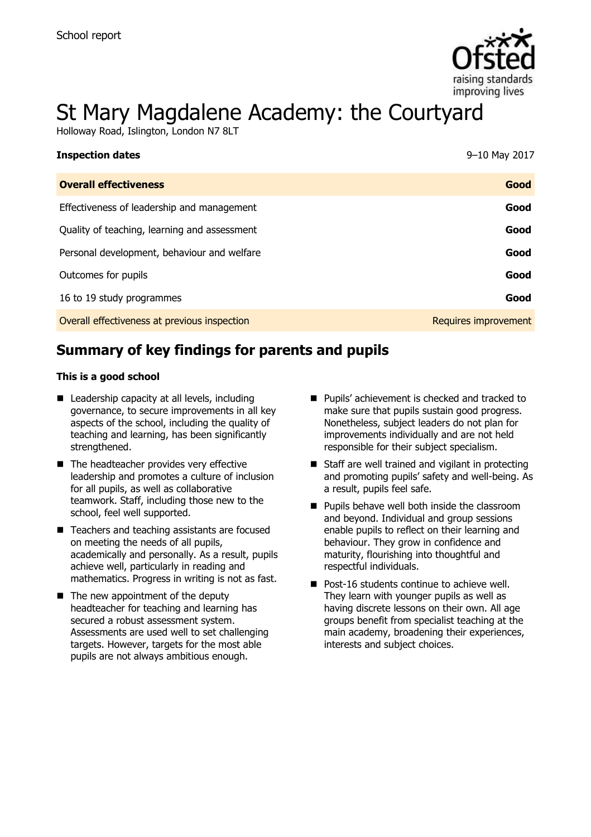

# St Mary Magdalene Academy: the Courtyard

Holloway Road, Islington, London N7 8LT

| <b>Inspection dates</b>                      | 9–10 May 2017        |
|----------------------------------------------|----------------------|
| <b>Overall effectiveness</b>                 | Good                 |
| Effectiveness of leadership and management   | Good                 |
| Quality of teaching, learning and assessment | Good                 |
| Personal development, behaviour and welfare  | Good                 |
| Outcomes for pupils                          | Good                 |
| 16 to 19 study programmes                    | Good                 |
| Overall effectiveness at previous inspection | Requires improvement |

# **Summary of key findings for parents and pupils**

#### **This is a good school**

- Leadership capacity at all levels, including governance, to secure improvements in all key aspects of the school, including the quality of teaching and learning, has been significantly strengthened.
- The headteacher provides very effective leadership and promotes a culture of inclusion for all pupils, as well as collaborative teamwork. Staff, including those new to the school, feel well supported.
- Teachers and teaching assistants are focused on meeting the needs of all pupils, academically and personally. As a result, pupils achieve well, particularly in reading and mathematics. Progress in writing is not as fast.
- $\blacksquare$  The new appointment of the deputy headteacher for teaching and learning has secured a robust assessment system. Assessments are used well to set challenging targets. However, targets for the most able pupils are not always ambitious enough.
- Pupils' achievement is checked and tracked to make sure that pupils sustain good progress. Nonetheless, subject leaders do not plan for improvements individually and are not held responsible for their subject specialism.
- Staff are well trained and vigilant in protecting and promoting pupils' safety and well-being. As a result, pupils feel safe.
- **Pupils behave well both inside the classroom** and beyond. Individual and group sessions enable pupils to reflect on their learning and behaviour. They grow in confidence and maturity, flourishing into thoughtful and respectful individuals.
- **Post-16 students continue to achieve well.** They learn with younger pupils as well as having discrete lessons on their own. All age groups benefit from specialist teaching at the main academy, broadening their experiences, interests and subject choices.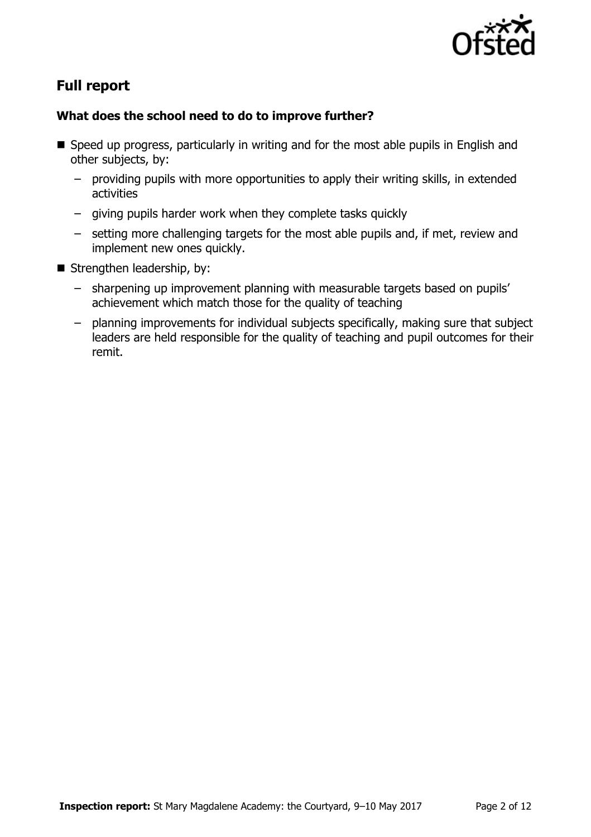

# **Full report**

### **What does the school need to do to improve further?**

- Speed up progress, particularly in writing and for the most able pupils in English and other subjects, by:
	- providing pupils with more opportunities to apply their writing skills, in extended activities
	- giving pupils harder work when they complete tasks quickly
	- setting more challenging targets for the most able pupils and, if met, review and implement new ones quickly.
- Strengthen leadership, by:
	- sharpening up improvement planning with measurable targets based on pupils' achievement which match those for the quality of teaching
	- planning improvements for individual subjects specifically, making sure that subject leaders are held responsible for the quality of teaching and pupil outcomes for their remit.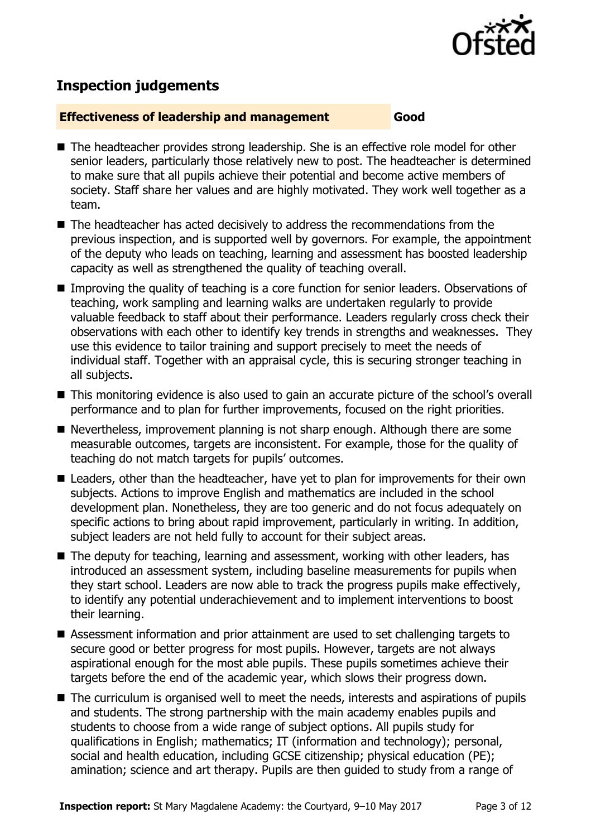

# **Inspection judgements**

#### **Effectiveness of leadership and management Good**

- The headteacher provides strong leadership. She is an effective role model for other senior leaders, particularly those relatively new to post. The headteacher is determined to make sure that all pupils achieve their potential and become active members of society. Staff share her values and are highly motivated. They work well together as a team.
- The headteacher has acted decisively to address the recommendations from the previous inspection, and is supported well by governors. For example, the appointment of the deputy who leads on teaching, learning and assessment has boosted leadership capacity as well as strengthened the quality of teaching overall.
- Improving the quality of teaching is a core function for senior leaders. Observations of teaching, work sampling and learning walks are undertaken regularly to provide valuable feedback to staff about their performance. Leaders regularly cross check their observations with each other to identify key trends in strengths and weaknesses. They use this evidence to tailor training and support precisely to meet the needs of individual staff. Together with an appraisal cycle, this is securing stronger teaching in all subjects.
- This monitoring evidence is also used to gain an accurate picture of the school's overall performance and to plan for further improvements, focused on the right priorities.
- Nevertheless, improvement planning is not sharp enough. Although there are some measurable outcomes, targets are inconsistent. For example, those for the quality of teaching do not match targets for pupils' outcomes.
- Leaders, other than the headteacher, have yet to plan for improvements for their own subjects. Actions to improve English and mathematics are included in the school development plan. Nonetheless, they are too generic and do not focus adequately on specific actions to bring about rapid improvement, particularly in writing. In addition, subject leaders are not held fully to account for their subject areas.
- The deputy for teaching, learning and assessment, working with other leaders, has introduced an assessment system, including baseline measurements for pupils when they start school. Leaders are now able to track the progress pupils make effectively, to identify any potential underachievement and to implement interventions to boost their learning.
- Assessment information and prior attainment are used to set challenging targets to secure good or better progress for most pupils. However, targets are not always aspirational enough for the most able pupils. These pupils sometimes achieve their targets before the end of the academic year, which slows their progress down.
- The curriculum is organised well to meet the needs, interests and aspirations of pupils and students. The strong partnership with the main academy enables pupils and students to choose from a wide range of subject options. All pupils study for qualifications in English; mathematics; IT (information and technology); personal, social and health education, including GCSE citizenship; physical education (PE); amination; science and art therapy. Pupils are then guided to study from a range of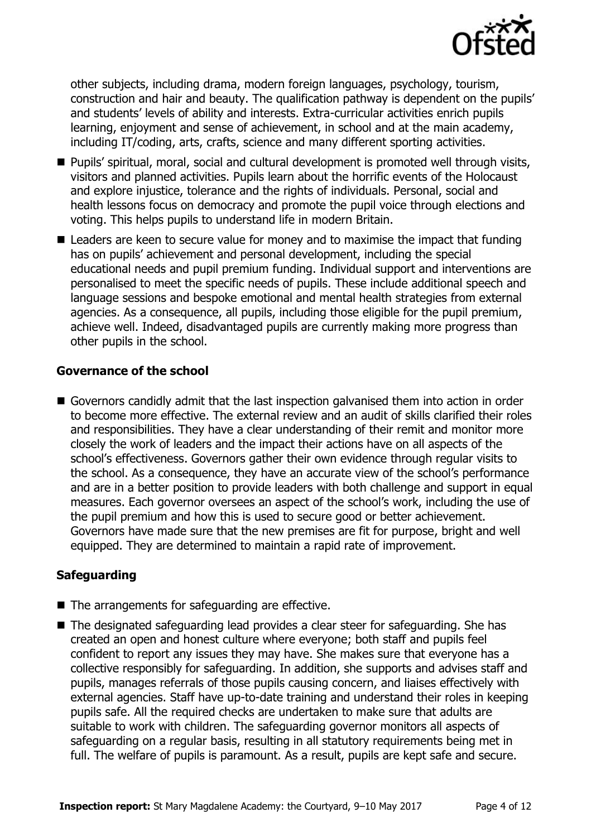

other subjects, including drama, modern foreign languages, psychology, tourism, construction and hair and beauty. The qualification pathway is dependent on the pupils' and students' levels of ability and interests. Extra-curricular activities enrich pupils learning, enjoyment and sense of achievement, in school and at the main academy, including IT/coding, arts, crafts, science and many different sporting activities.

- Pupils' spiritual, moral, social and cultural development is promoted well through visits, visitors and planned activities. Pupils learn about the horrific events of the Holocaust and explore injustice, tolerance and the rights of individuals. Personal, social and health lessons focus on democracy and promote the pupil voice through elections and voting. This helps pupils to understand life in modern Britain.
- Leaders are keen to secure value for money and to maximise the impact that funding has on pupils' achievement and personal development, including the special educational needs and pupil premium funding. Individual support and interventions are personalised to meet the specific needs of pupils. These include additional speech and language sessions and bespoke emotional and mental health strategies from external agencies. As a consequence, all pupils, including those eligible for the pupil premium, achieve well. Indeed, disadvantaged pupils are currently making more progress than other pupils in the school.

#### **Governance of the school**

Governors candidly admit that the last inspection galvanised them into action in order to become more effective. The external review and an audit of skills clarified their roles and responsibilities. They have a clear understanding of their remit and monitor more closely the work of leaders and the impact their actions have on all aspects of the school's effectiveness. Governors gather their own evidence through regular visits to the school. As a consequence, they have an accurate view of the school's performance and are in a better position to provide leaders with both challenge and support in equal measures. Each governor oversees an aspect of the school's work, including the use of the pupil premium and how this is used to secure good or better achievement. Governors have made sure that the new premises are fit for purpose, bright and well equipped. They are determined to maintain a rapid rate of improvement.

### **Safeguarding**

- $\blacksquare$  The arrangements for safeguarding are effective.
- The designated safeguarding lead provides a clear steer for safeguarding. She has created an open and honest culture where everyone; both staff and pupils feel confident to report any issues they may have. She makes sure that everyone has a collective responsibly for safeguarding. In addition, she supports and advises staff and pupils, manages referrals of those pupils causing concern, and liaises effectively with external agencies. Staff have up-to-date training and understand their roles in keeping pupils safe. All the required checks are undertaken to make sure that adults are suitable to work with children. The safeguarding governor monitors all aspects of safeguarding on a regular basis, resulting in all statutory requirements being met in full. The welfare of pupils is paramount. As a result, pupils are kept safe and secure.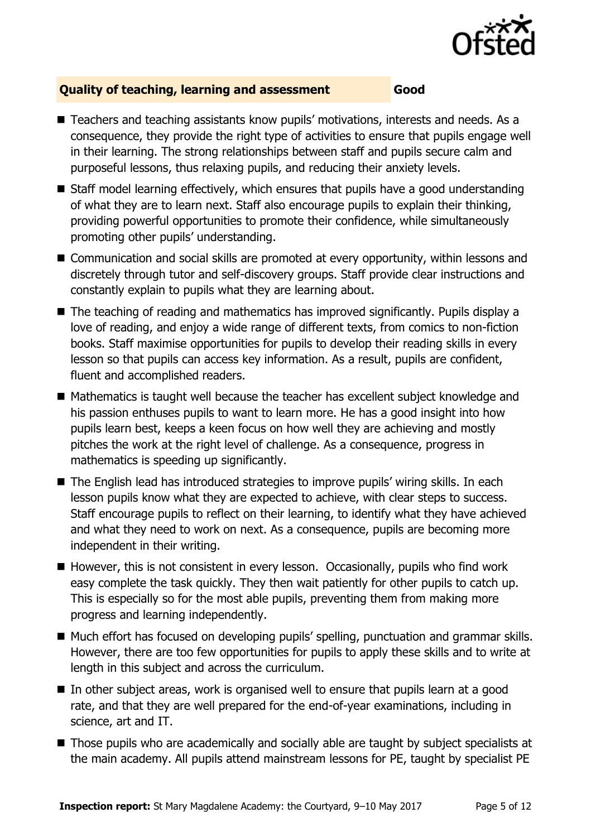

### **Quality of teaching, learning and assessment Good**

- Teachers and teaching assistants know pupils' motivations, interests and needs. As a consequence, they provide the right type of activities to ensure that pupils engage well in their learning. The strong relationships between staff and pupils secure calm and purposeful lessons, thus relaxing pupils, and reducing their anxiety levels.
- Staff model learning effectively, which ensures that pupils have a good understanding of what they are to learn next. Staff also encourage pupils to explain their thinking, providing powerful opportunities to promote their confidence, while simultaneously promoting other pupils' understanding.
- Communication and social skills are promoted at every opportunity, within lessons and discretely through tutor and self-discovery groups. Staff provide clear instructions and constantly explain to pupils what they are learning about.
- The teaching of reading and mathematics has improved significantly. Pupils display a love of reading, and enjoy a wide range of different texts, from comics to non-fiction books. Staff maximise opportunities for pupils to develop their reading skills in every lesson so that pupils can access key information. As a result, pupils are confident, fluent and accomplished readers.
- Mathematics is taught well because the teacher has excellent subject knowledge and his passion enthuses pupils to want to learn more. He has a good insight into how pupils learn best, keeps a keen focus on how well they are achieving and mostly pitches the work at the right level of challenge. As a consequence, progress in mathematics is speeding up significantly.
- The English lead has introduced strategies to improve pupils' wiring skills. In each lesson pupils know what they are expected to achieve, with clear steps to success. Staff encourage pupils to reflect on their learning, to identify what they have achieved and what they need to work on next. As a consequence, pupils are becoming more independent in their writing.
- $\blacksquare$  However, this is not consistent in every lesson. Occasionally, pupils who find work easy complete the task quickly. They then wait patiently for other pupils to catch up. This is especially so for the most able pupils, preventing them from making more progress and learning independently.
- Much effort has focused on developing pupils' spelling, punctuation and grammar skills. However, there are too few opportunities for pupils to apply these skills and to write at length in this subject and across the curriculum.
- $\blacksquare$  In other subject areas, work is organised well to ensure that pupils learn at a good rate, and that they are well prepared for the end-of-year examinations, including in science, art and IT.
- Those pupils who are academically and socially able are taught by subject specialists at the main academy. All pupils attend mainstream lessons for PE, taught by specialist PE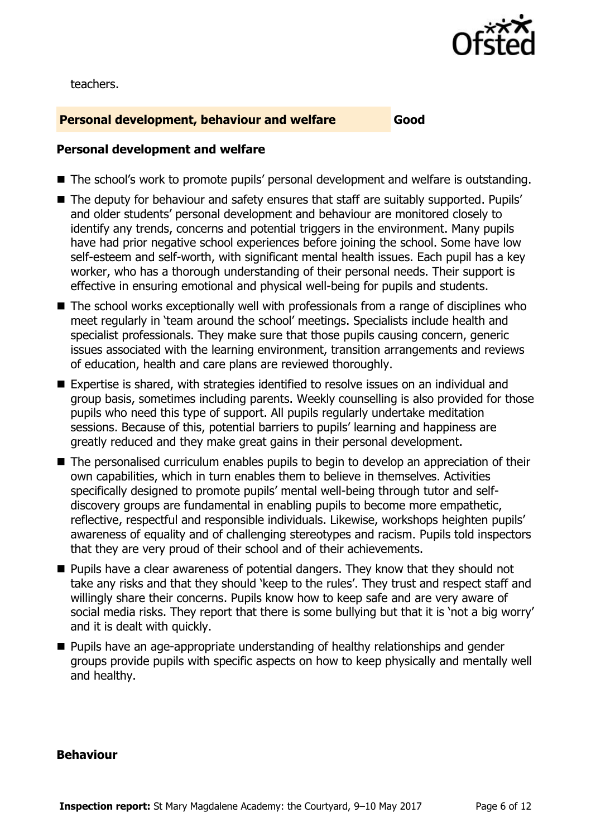

teachers.

### **Personal development, behaviour and welfare Good**

#### **Personal development and welfare**

- The school's work to promote pupils' personal development and welfare is outstanding.
- The deputy for behaviour and safety ensures that staff are suitably supported. Pupils' and older students' personal development and behaviour are monitored closely to identify any trends, concerns and potential triggers in the environment. Many pupils have had prior negative school experiences before joining the school. Some have low self-esteem and self-worth, with significant mental health issues. Each pupil has a key worker, who has a thorough understanding of their personal needs. Their support is effective in ensuring emotional and physical well-being for pupils and students.
- The school works exceptionally well with professionals from a range of disciplines who meet regularly in 'team around the school' meetings. Specialists include health and specialist professionals. They make sure that those pupils causing concern, generic issues associated with the learning environment, transition arrangements and reviews of education, health and care plans are reviewed thoroughly.
- Expertise is shared, with strategies identified to resolve issues on an individual and group basis, sometimes including parents. Weekly counselling is also provided for those pupils who need this type of support. All pupils regularly undertake meditation sessions. Because of this, potential barriers to pupils' learning and happiness are greatly reduced and they make great gains in their personal development.
- The personalised curriculum enables pupils to begin to develop an appreciation of their own capabilities, which in turn enables them to believe in themselves. Activities specifically designed to promote pupils' mental well-being through tutor and selfdiscovery groups are fundamental in enabling pupils to become more empathetic, reflective, respectful and responsible individuals. Likewise, workshops heighten pupils' awareness of equality and of challenging stereotypes and racism. Pupils told inspectors that they are very proud of their school and of their achievements.
- **Pupils have a clear awareness of potential dangers. They know that they should not** take any risks and that they should 'keep to the rules'. They trust and respect staff and willingly share their concerns. Pupils know how to keep safe and are very aware of social media risks. They report that there is some bullying but that it is 'not a big worry' and it is dealt with quickly.
- **Pupils have an age-appropriate understanding of healthy relationships and gender** groups provide pupils with specific aspects on how to keep physically and mentally well and healthy.

#### **Behaviour**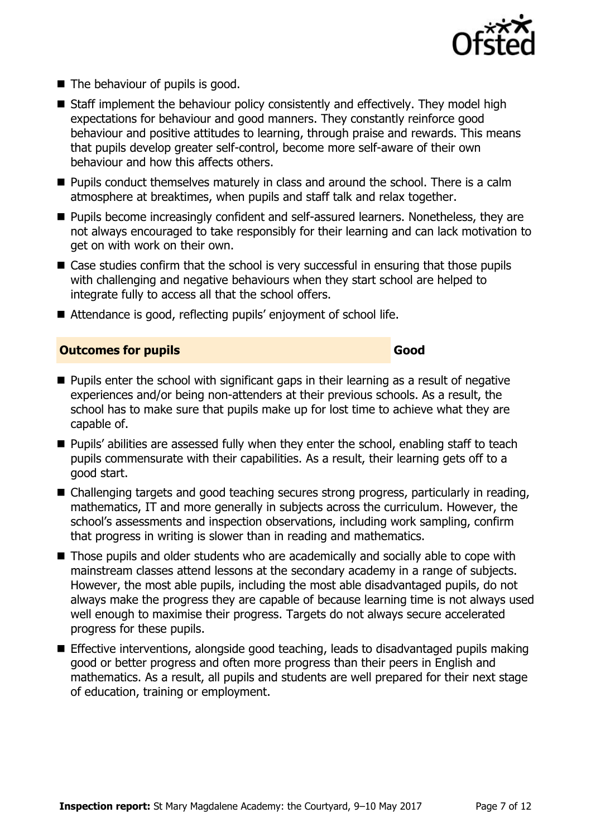

- The behaviour of pupils is good.
- Staff implement the behaviour policy consistently and effectively. They model high expectations for behaviour and good manners. They constantly reinforce good behaviour and positive attitudes to learning, through praise and rewards. This means that pupils develop greater self-control, become more self-aware of their own behaviour and how this affects others.
- $\blacksquare$  Pupils conduct themselves maturely in class and around the school. There is a calm atmosphere at breaktimes, when pupils and staff talk and relax together.
- **Pupils become increasingly confident and self-assured learners. Nonetheless, they are** not always encouraged to take responsibly for their learning and can lack motivation to get on with work on their own.
- Case studies confirm that the school is very successful in ensuring that those pupils with challenging and negative behaviours when they start school are helped to integrate fully to access all that the school offers.
- Attendance is good, reflecting pupils' enjoyment of school life.

#### **Outcomes for pupils Good**

- **Pupils enter the school with significant gaps in their learning as a result of negative** experiences and/or being non-attenders at their previous schools. As a result, the school has to make sure that pupils make up for lost time to achieve what they are capable of.
- **Pupils'** abilities are assessed fully when they enter the school, enabling staff to teach pupils commensurate with their capabilities. As a result, their learning gets off to a good start.
- Challenging targets and good teaching secures strong progress, particularly in reading, mathematics, IT and more generally in subjects across the curriculum. However, the school's assessments and inspection observations, including work sampling, confirm that progress in writing is slower than in reading and mathematics.
- Those pupils and older students who are academically and socially able to cope with mainstream classes attend lessons at the secondary academy in a range of subjects. However, the most able pupils, including the most able disadvantaged pupils, do not always make the progress they are capable of because learning time is not always used well enough to maximise their progress. Targets do not always secure accelerated progress for these pupils.
- **Effective interventions, alongside good teaching, leads to disadvantaged pupils making** good or better progress and often more progress than their peers in English and mathematics. As a result, all pupils and students are well prepared for their next stage of education, training or employment.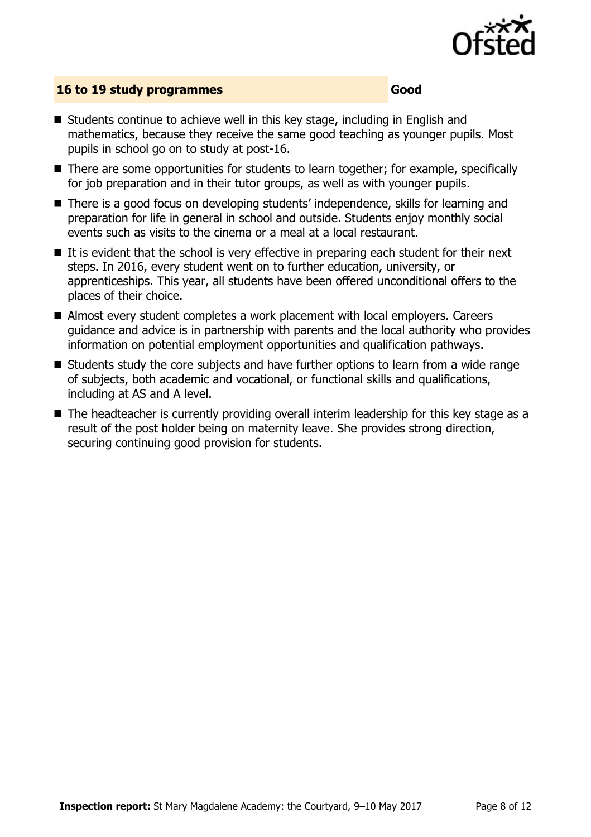

#### **16 to 19 study programmes Good**

- Students continue to achieve well in this key stage, including in English and mathematics, because they receive the same good teaching as younger pupils. Most pupils in school go on to study at post-16.
- There are some opportunities for students to learn together; for example, specifically for job preparation and in their tutor groups, as well as with younger pupils.
- There is a good focus on developing students' independence, skills for learning and preparation for life in general in school and outside. Students enjoy monthly social events such as visits to the cinema or a meal at a local restaurant.
- $\blacksquare$  It is evident that the school is very effective in preparing each student for their next steps. In 2016, every student went on to further education, university, or apprenticeships. This year, all students have been offered unconditional offers to the places of their choice.
- Almost every student completes a work placement with local employers. Careers guidance and advice is in partnership with parents and the local authority who provides information on potential employment opportunities and qualification pathways.
- Students study the core subjects and have further options to learn from a wide range of subjects, both academic and vocational, or functional skills and qualifications, including at AS and A level.
- The headteacher is currently providing overall interim leadership for this key stage as a result of the post holder being on maternity leave. She provides strong direction, securing continuing good provision for students.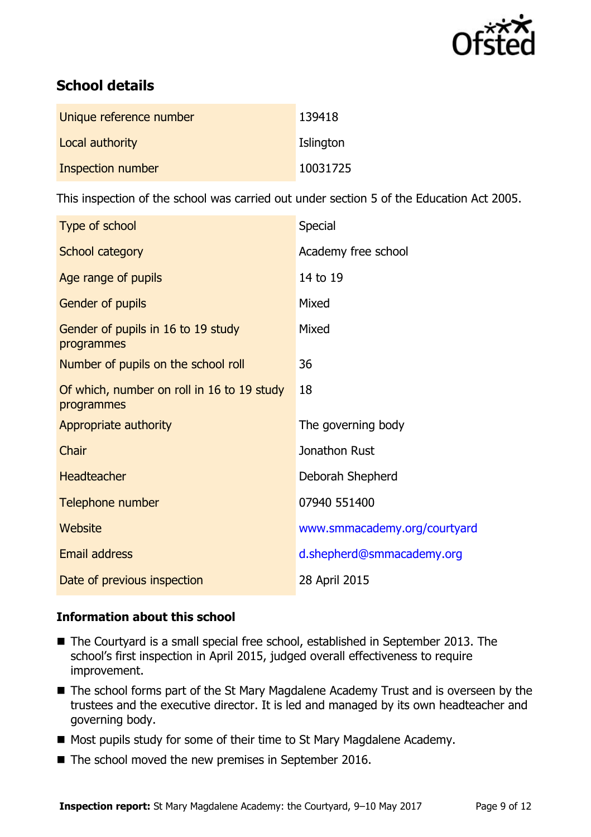

# **School details**

| Unique reference number | 139418    |
|-------------------------|-----------|
| Local authority         | Islington |
| Inspection number       | 10031725  |

This inspection of the school was carried out under section 5 of the Education Act 2005.

| Type of school                                           | <b>Special</b>               |
|----------------------------------------------------------|------------------------------|
| School category                                          | Academy free school          |
| Age range of pupils                                      | 14 to 19                     |
| Gender of pupils                                         | Mixed                        |
| Gender of pupils in 16 to 19 study<br>programmes         | Mixed                        |
| Number of pupils on the school roll                      | 36                           |
| Of which, number on roll in 16 to 19 study<br>programmes | 18                           |
| Appropriate authority                                    | The governing body           |
| Chair                                                    | Jonathon Rust                |
| <b>Headteacher</b>                                       | Deborah Shepherd             |
| Telephone number                                         | 07940 551400                 |
| Website                                                  | www.smmacademy.org/courtyard |
| Email address                                            | d.shepherd@smmacademy.org    |
| Date of previous inspection                              | 28 April 2015                |

### **Information about this school**

- The Courtyard is a small special free school, established in September 2013. The school's first inspection in April 2015, judged overall effectiveness to require improvement.
- The school forms part of the St Mary Magdalene Academy Trust and is overseen by the trustees and the executive director. It is led and managed by its own headteacher and governing body.
- Most pupils study for some of their time to St Mary Magdalene Academy.
- The school moved the new premises in September 2016.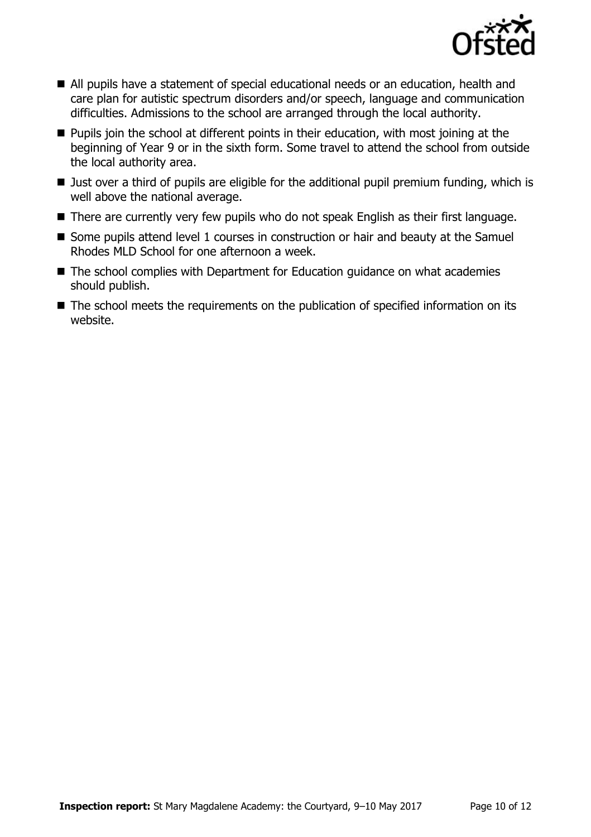

- All pupils have a statement of special educational needs or an education, health and care plan for autistic spectrum disorders and/or speech, language and communication difficulties. Admissions to the school are arranged through the local authority.
- **Pupils join the school at different points in their education, with most joining at the** beginning of Year 9 or in the sixth form. Some travel to attend the school from outside the local authority area.
- Just over a third of pupils are eligible for the additional pupil premium funding, which is well above the national average.
- There are currently very few pupils who do not speak English as their first language.
- Some pupils attend level 1 courses in construction or hair and beauty at the Samuel Rhodes MLD School for one afternoon a week.
- The school complies with Department for Education guidance on what academies should publish.
- The school meets the requirements on the publication of specified information on its website.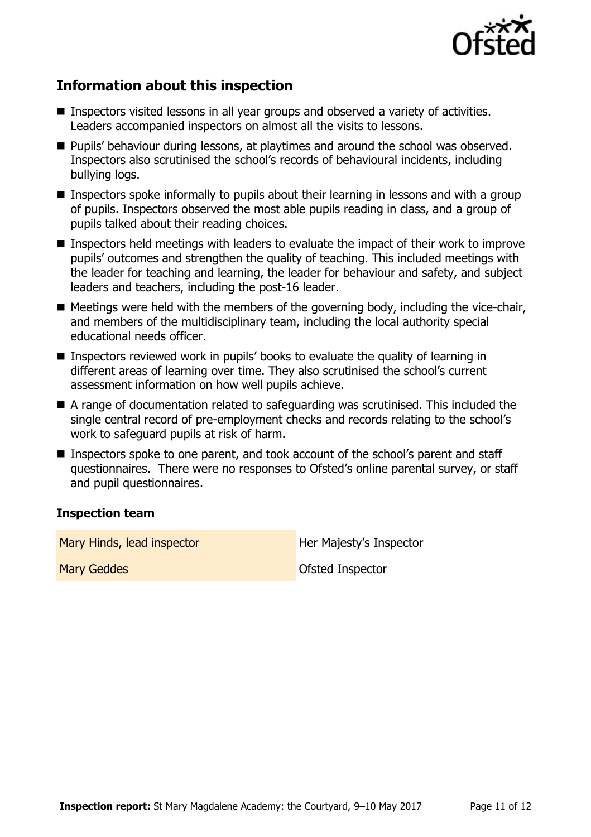

# **Information about this inspection**

- Inspectors visited lessons in all year groups and observed a variety of activities. Leaders accompanied inspectors on almost all the visits to lessons.
- **Pupils' behaviour during lessons, at playtimes and around the school was observed.** Inspectors also scrutinised the school's records of behavioural incidents, including bullying logs.
- **Inspectors spoke informally to pupils about their learning in lessons and with a group** of pupils. Inspectors observed the most able pupils reading in class, and a group of pupils talked about their reading choices.
- **Inspectors held meetings with leaders to evaluate the impact of their work to improve** pupils' outcomes and strengthen the quality of teaching. This included meetings with the leader for teaching and learning, the leader for behaviour and safety, and subject leaders and teachers, including the post-16 leader.
- $\blacksquare$  Meetings were held with the members of the governing body, including the vice-chair, and members of the multidisciplinary team, including the local authority special educational needs officer.
- Inspectors reviewed work in pupils' books to evaluate the quality of learning in different areas of learning over time. They also scrutinised the school's current assessment information on how well pupils achieve.
- A range of documentation related to safeguarding was scrutinised. This included the single central record of pre-employment checks and records relating to the school's work to safeguard pupils at risk of harm.
- Inspectors spoke to one parent, and took account of the school's parent and staff questionnaires. There were no responses to Ofsted's online parental survey, or staff and pupil questionnaires.

#### **Inspection team**

Mary Hinds, lead inspector **Her Majesty's Inspector** 

Mary Geddes **Ofsted Inspector**